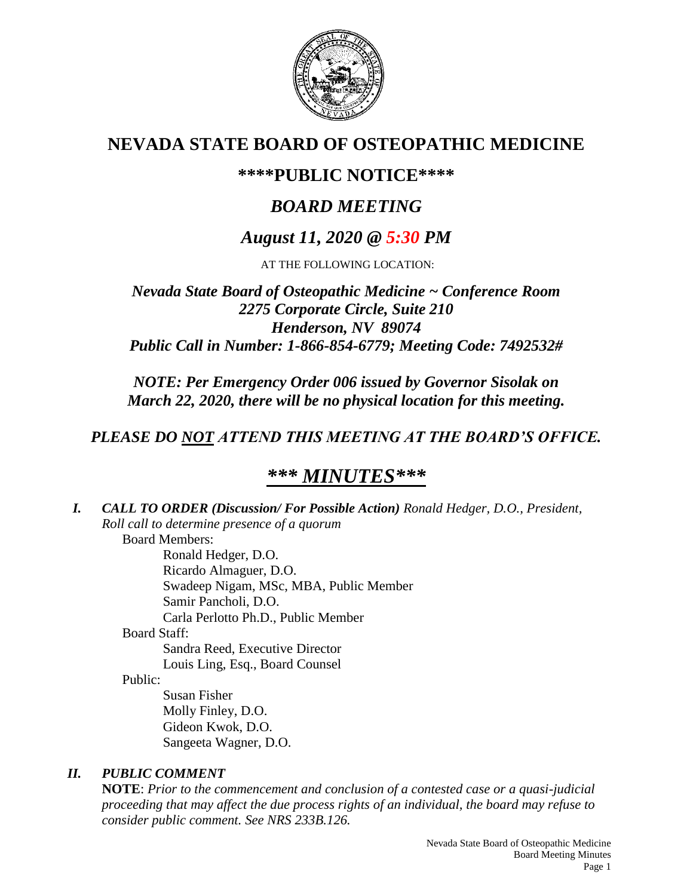

# **NEVADA STATE BOARD OF OSTEOPATHIC MEDICINE**

## **\*\*\*\*PUBLIC NOTICE\*\*\*\***

# *BOARD MEETING*

## *August 11, 2020 @ 5:30 PM*

AT THE FOLLOWING LOCATION:

*Nevada State Board of Osteopathic Medicine ~ Conference Room 2275 Corporate Circle, Suite 210 Henderson, NV 89074 Public Call in Number: 1-866-854-6779; Meeting Code: 7492532#*

*NOTE: Per Emergency Order 006 issued by Governor Sisolak on March 22, 2020, there will be no physical location for this meeting.*

## *PLEASE DO NOT ATTEND THIS MEETING AT THE BOARD'S OFFICE.*

# *\*\*\* MINUTES\*\*\**

*I. CALL TO ORDER (Discussion/ For Possible Action) Ronald Hedger, D.O., President, Roll call to determine presence of a quorum* Board Members: Ronald Hedger, D.O. Ricardo Almaguer, D.O. Swadeep Nigam, MSc, MBA, Public Member Samir Pancholi, D.O. Carla Perlotto Ph.D., Public Member Board Staff: Sandra Reed, Executive Director Louis Ling, Esq., Board Counsel Public: Susan Fisher Molly Finley, D.O. Gideon Kwok, D.O. Sangeeta Wagner, D.O. *II. PUBLIC COMMENT*

**NOTE**: *Prior to the commencement and conclusion of a contested case or a quasi-judicial proceeding that may affect the due process rights of an individual, the board may refuse to consider public comment. See NRS 233B.126.*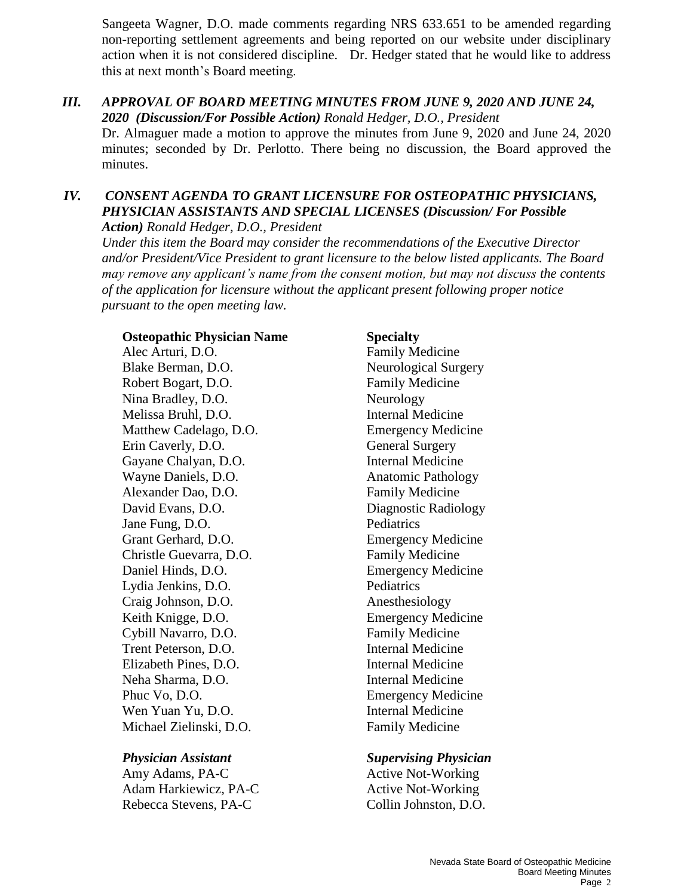Sangeeta Wagner, D.O. made comments regarding NRS 633.651 to be amended regarding non-reporting settlement agreements and being reported on our website under disciplinary action when it is not considered discipline. Dr. Hedger stated that he would like to address this at next month's Board meeting.

### *III. APPROVAL OF BOARD MEETING MINUTES FROM JUNE 9, 2020 AND JUNE 24, 2020 (Discussion/For Possible Action) Ronald Hedger, D.O., President*

Dr. Almaguer made a motion to approve the minutes from June 9, 2020 and June 24, 2020 minutes; seconded by Dr. Perlotto. There being no discussion, the Board approved the minutes.

## *IV. CONSENT AGENDA TO GRANT LICENSURE FOR OSTEOPATHIC PHYSICIANS, PHYSICIAN ASSISTANTS AND SPECIAL LICENSES (Discussion/ For Possible Action) Ronald Hedger, D.O., President*

*Under this item the Board may consider the recommendations of the Executive Director and/or President/Vice President to grant licensure to the below listed applicants. The Board may remove any applicant's name from the consent motion, but may not discuss the contents of the application for licensure without the applicant present following proper notice pursuant to the open meeting law.*

### **Osteopathic Physician Name Specialty**

Alec Arturi, D.O. Family Medicine Blake Berman, D.O. Neurological Surgery Robert Bogart, D.O. Family Medicine Nina Bradley, D.O. Neurology Melissa Bruhl, D.O. Internal Medicine Matthew Cadelago, D.O. Emergency Medicine Erin Caverly, D.O. General Surgery Gayane Chalyan, D.O. **Internal Medicine** Wayne Daniels, D.O. **Anatomic Pathology** Alexander Dao, D.O. Family Medicine David Evans, D.O. Diagnostic Radiology Jane Fung, D.O. Pediatrics Grant Gerhard, D.O. Emergency Medicine Christle Guevarra, D.O. Family Medicine Daniel Hinds, D.O. Emergency Medicine Lydia Jenkins, D.O. Pediatrics Craig Johnson, D.O. Anesthesiology Keith Knigge, D.O. Emergency Medicine Cybill Navarro, D.O. Family Medicine Trent Peterson, D.O. **Internal Medicine** Elizabeth Pines, D.O. Internal Medicine Neha Sharma, D.O. Internal Medicine Phuc Vo, D.O. Emergency Medicine Wen Yuan Yu, D.O. **Internal Medicine** Michael Zielinski, D.O. Family Medicine

Amy Adams, PA-C Active Not-Working Adam Harkiewicz, PA-C<br>
Active Not-Working Rebecca Stevens, PA-C Collin Johnston, D.O.

## *Physician Assistant Supervising Physician*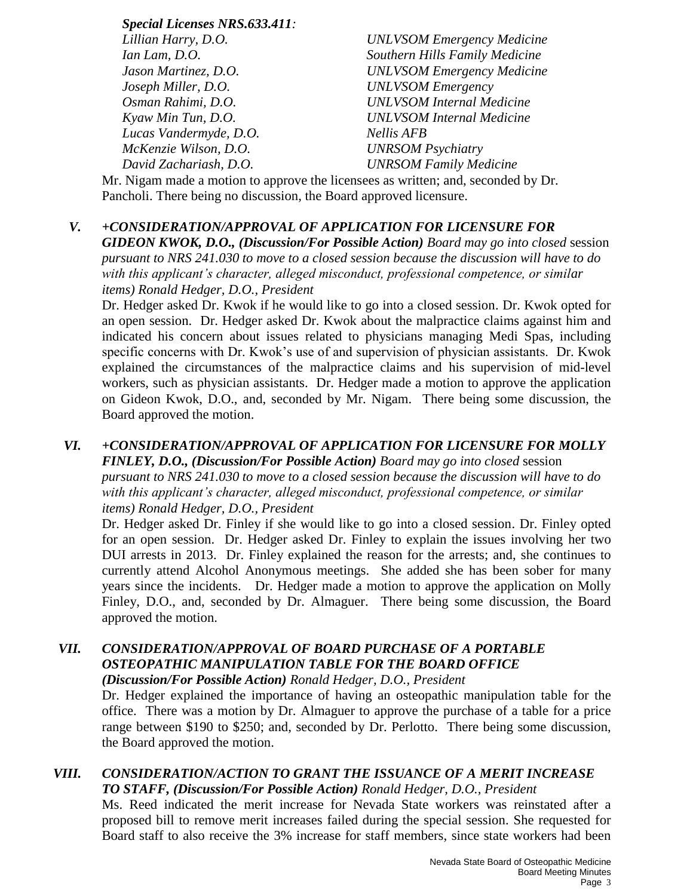*Special Licenses NRS.633.411: Lillian Harry, D.O. UNLVSOM Emergency Medicine Ian Lam, D.O. Southern Hills Family Medicine Jason Martinez, D.O. UNLVSOM Emergency Medicine Joseph Miller, D.O. UNLVSOM Emergency Osman Rahimi, D.O. UNLVSOM Internal Medicine Kyaw Min Tun, D.O. UNLVSOM Internal Medicine Lucas Vandermyde, D.O. Nellis AFB McKenzie Wilson, D.O. UNRSOM Psychiatry David Zachariash, D.O. UNRSOM Family Medicine*

Mr. Nigam made a motion to approve the licensees as written; and, seconded by Dr. Pancholi. There being no discussion, the Board approved licensure.

## *V. +CONSIDERATION/APPROVAL OF APPLICATION FOR LICENSURE FOR*

*GIDEON KWOK, D.O., (Discussion/For Possible Action) Board may go into closed* session *pursuant to NRS 241.030 to move to a closed session because the discussion will have to do with this applicant's character, alleged misconduct, professional competence, or similar items) Ronald Hedger, D.O., President*

Dr. Hedger asked Dr. Kwok if he would like to go into a closed session. Dr. Kwok opted for an open session. Dr. Hedger asked Dr. Kwok about the malpractice claims against him and indicated his concern about issues related to physicians managing Medi Spas, including specific concerns with Dr. Kwok's use of and supervision of physician assistants. Dr. Kwok explained the circumstances of the malpractice claims and his supervision of mid-level workers, such as physician assistants. Dr. Hedger made a motion to approve the application on Gideon Kwok, D.O., and, seconded by Mr. Nigam. There being some discussion, the Board approved the motion.

## *VI. +CONSIDERATION/APPROVAL OF APPLICATION FOR LICENSURE FOR MOLLY FINLEY, D.O., (Discussion/For Possible Action) Board may go into closed* session *pursuant to NRS 241.030 to move to a closed session because the discussion will have to do with this applicant's character, alleged misconduct, professional competence, or similar items) Ronald Hedger, D.O., President*

Dr. Hedger asked Dr. Finley if she would like to go into a closed session. Dr. Finley opted for an open session. Dr. Hedger asked Dr. Finley to explain the issues involving her two DUI arrests in 2013. Dr. Finley explained the reason for the arrests; and, she continues to currently attend Alcohol Anonymous meetings. She added she has been sober for many years since the incidents. Dr. Hedger made a motion to approve the application on Molly Finley, D.O., and, seconded by Dr. Almaguer. There being some discussion, the Board approved the motion.

## *VII. CONSIDERATION/APPROVAL OF BOARD PURCHASE OF A PORTABLE OSTEOPATHIC MANIPULATION TABLE FOR THE BOARD OFFICE*

*(Discussion/For Possible Action) Ronald Hedger, D.O., President*

Dr. Hedger explained the importance of having an osteopathic manipulation table for the office. There was a motion by Dr. Almaguer to approve the purchase of a table for a price range between \$190 to \$250; and, seconded by Dr. Perlotto. There being some discussion, the Board approved the motion.

## *VIII. CONSIDERATION/ACTION TO GRANT THE ISSUANCE OF A MERIT INCREASE TO STAFF, (Discussion/For Possible Action) Ronald Hedger, D.O., President*

Ms. Reed indicated the merit increase for Nevada State workers was reinstated after a proposed bill to remove merit increases failed during the special session. She requested for Board staff to also receive the 3% increase for staff members, since state workers had been